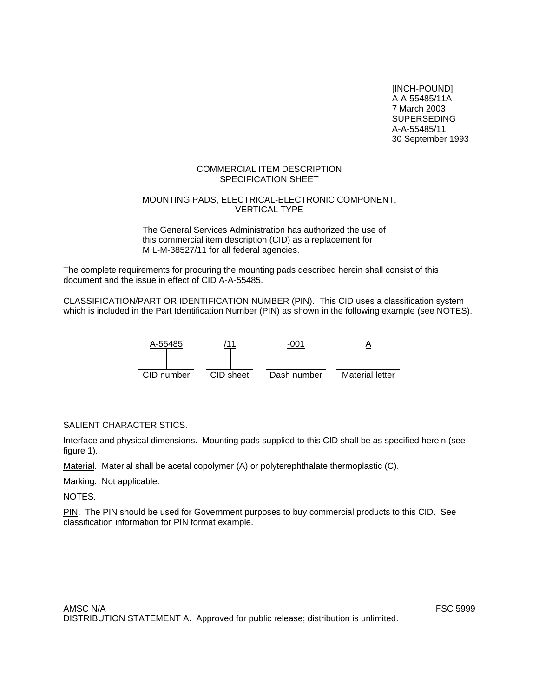[INCH-POUND] A-A-55485/11A 7 March 2003 SUPERSEDING A-A-55485/11 30 September 1993

#### COMMERCIAL ITEM DESCRIPTION SPECIFICATION SHEET

#### MOUNTING PADS, ELECTRICAL-ELECTRONIC COMPONENT, VERTICAL TYPE

The General Services Administration has authorized the use of this commercial item description (CID) as a replacement for MIL-M-38527/11 for all federal agencies.

The complete requirements for procuring the mounting pads described herein shall consist of this document and the issue in effect of CID A-A-55485.

CLASSIFICATION/PART OR IDENTIFICATION NUMBER (PIN). This CID uses a classification system which is included in the Part Identification Number (PIN) as shown in the following example (see NOTES).



SALIENT CHARACTERISTICS.

Interface and physical dimensions. Mounting pads supplied to this CID shall be as specified herein (see figure 1).

Material. Material shall be acetal copolymer (A) or polyterephthalate thermoplastic (C).

Marking. Not applicable.

NOTES.

PIN. The PIN should be used for Government purposes to buy commercial products to this CID. See classification information for PIN format example.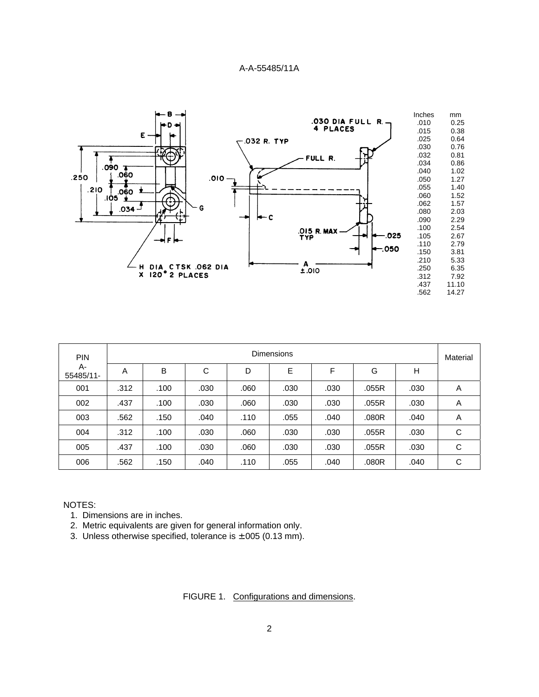

| <b>PIN</b>      | Dimensions |      |      |      |      |      |       |      |                |
|-----------------|------------|------|------|------|------|------|-------|------|----------------|
| A-<br>55485/11- | A          | B    | C    | D    | E    | F    | G     | H    |                |
| 001             | .312       | .100 | .030 | .060 | .030 | .030 | .055R | .030 | $\overline{A}$ |
| 002             | .437       | .100 | .030 | .060 | .030 | .030 | .055R | .030 | A              |
| 003             | .562       | .150 | .040 | .110 | .055 | .040 | .080R | .040 | A              |
| 004             | .312       | .100 | .030 | .060 | .030 | .030 | .055R | .030 | C              |
| 005             | .437       | .100 | .030 | .060 | .030 | .030 | .055R | .030 | C              |
| 006             | .562       | .150 | .040 | .110 | .055 | .040 | .080R | .040 | С              |

## NOTES:

- 1. Dimensions are in inches.
- 2. Metric equivalents are given for general information only.
- 3. Unless otherwise specified, tolerance is  $\pm$ .005 (0.13 mm).

FIGURE 1. Configurations and dimensions.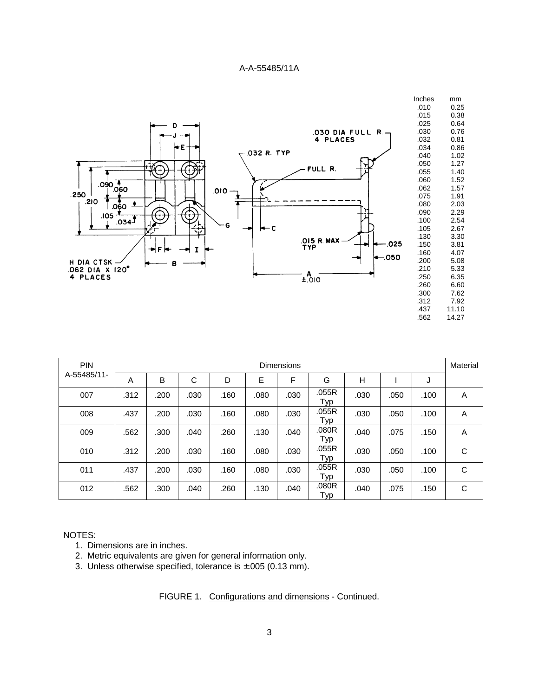

| <b>PIN</b>  | <b>Dimensions</b> |      |      |      |      |      |              | Material |      |      |   |
|-------------|-------------------|------|------|------|------|------|--------------|----------|------|------|---|
| A-55485/11- | A                 | B    | C    | D    | E    | F    | G            | H        |      | J    |   |
| 007         | .312              | .200 | .030 | .160 | .080 | .030 | .055R<br>Typ | .030     | .050 | .100 | A |
| 008         | .437              | .200 | .030 | .160 | .080 | .030 | .055R<br>Typ | .030     | .050 | .100 | A |
| 009         | .562              | .300 | .040 | .260 | .130 | .040 | .080R<br>Typ | .040     | .075 | .150 | A |
| 010         | .312              | .200 | .030 | .160 | .080 | .030 | .055R<br>Typ | .030     | .050 | .100 | C |
| 011         | .437              | .200 | .030 | .160 | .080 | .030 | .055R<br>Typ | .030     | .050 | .100 | C |
| 012         | .562              | .300 | .040 | .260 | .130 | .040 | .080R<br>Typ | .040     | .075 | .150 | C |

### NOTES:

- 1. Dimensions are in inches.
- 2. Metric equivalents are given for general information only.
- 3. Unless otherwise specified, tolerance is  $\pm$ .005 (0.13 mm).

FIGURE 1. Configurations and dimensions - Continued.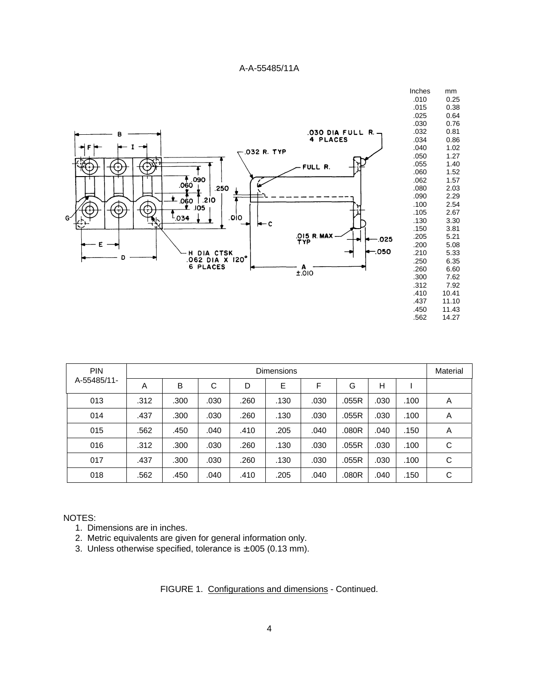

| <b>PIN</b>  |      | <b>Dimensions</b> |      |      |      |      |       |      | Material |   |
|-------------|------|-------------------|------|------|------|------|-------|------|----------|---|
| A-55485/11- | A    | B                 | C    | D    | E    | F    | G     | н    |          |   |
| 013         | .312 | .300              | .030 | .260 | .130 | .030 | .055R | .030 | .100     | A |
| 014         | .437 | .300              | .030 | .260 | .130 | .030 | .055R | .030 | .100     | Α |
| 015         | .562 | .450              | .040 | .410 | .205 | .040 | .080R | .040 | .150     | Α |
| 016         | .312 | .300              | .030 | .260 | .130 | .030 | .055R | .030 | .100     | С |
| 017         | .437 | .300              | .030 | .260 | .130 | .030 | .055R | .030 | .100     | С |
| 018         | .562 | .450              | .040 | .410 | .205 | .040 | .080R | .040 | .150     | С |

#### NOTES:

- 1. Dimensions are in inches.
- 2. Metric equivalents are given for general information only.
- 3. Unless otherwise specified, tolerance is  $\pm .005$  (0.13 mm).

FIGURE 1. Configurations and dimensions - Continued.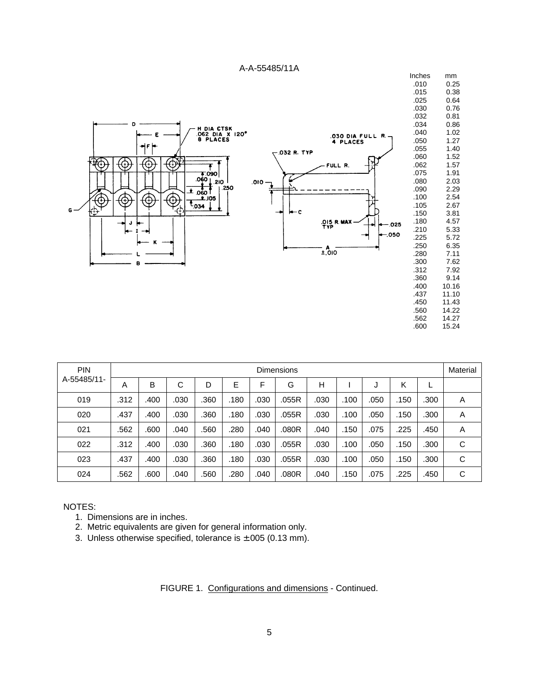

| <b>PIN</b>  |      |      |      |      |      |      | <b>Dimensions</b> |      |      |      |      |      | Material |
|-------------|------|------|------|------|------|------|-------------------|------|------|------|------|------|----------|
| A-55485/11- | Α    | B    | С    | D    | E    | F    | G                 | Н    |      |      | Κ    |      |          |
| 019         | .312 | .400 | .030 | .360 | .180 | .030 | .055R             | .030 | .100 | .050 | .150 | .300 | A        |
| 020         | .437 | .400 | .030 | .360 | .180 | .030 | .055R             | .030 | .100 | .050 | .150 | .300 | Α        |
| 021         | .562 | .600 | .040 | .560 | .280 | .040 | .080R             | .040 | .150 | .075 | .225 | .450 | Α        |
| 022         | .312 | .400 | .030 | .360 | .180 | .030 | .055R             | .030 | .100 | .050 | .150 | .300 | C        |
| 023         | .437 | .400 | .030 | .360 | .180 | .030 | .055R             | .030 | .100 | .050 | .150 | .300 | C        |
| 024         | .562 | .600 | .040 | .560 | .280 | .040 | .080R             | .040 | .150 | .075 | .225 | .450 | C        |

#### NOTES:

- 1. Dimensions are in inches.
- 2. Metric equivalents are given for general information only.
- 3. Unless otherwise specified, tolerance is  $\pm$ .005 (0.13 mm).

FIGURE 1. Configurations and dimensions - Continued.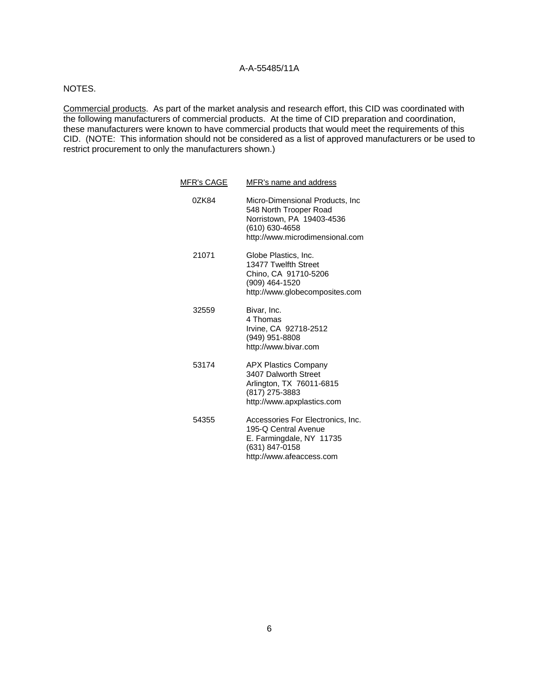# NOTES.

Commercial products. As part of the market analysis and research effort, this CID was coordinated with the following manufacturers of commercial products. At the time of CID preparation and coordination, these manufacturers were known to have commercial products that would meet the requirements of this CID. (NOTE: This information should not be considered as a list of approved manufacturers or be used to restrict procurement to only the manufacturers shown.)

| <b>MFR's CAGE</b> | MFR's name and address                                                                                                                      |
|-------------------|---------------------------------------------------------------------------------------------------------------------------------------------|
| 0ZK84             | Micro-Dimensional Products, Inc<br>548 North Trooper Road<br>Norristown, PA 19403-4536<br>(610) 630-4658<br>http://www.microdimensional.com |
| 21071             | Globe Plastics, Inc.<br>13477 Twelfth Street<br>Chino, CA 91710-5206<br>(909) 464-1520<br>http://www.globecomposites.com                    |
| 32559             | Bivar, Inc.<br>4 Thomas<br>Irvine, CA 92718-2512<br>(949) 951-8808<br>http://www.bivar.com                                                  |
| 53174             | <b>APX Plastics Company</b><br>3407 Dalworth Street<br>Arlington, TX 76011-6815<br>(817) 275-3883<br>http://www.apxplastics.com             |
| 54355             | Accessories For Electronics, Inc.<br>195-Q Central Avenue<br>E. Farmingdale, NY 11735<br>(631) 847-0158<br>http://www.afeaccess.com         |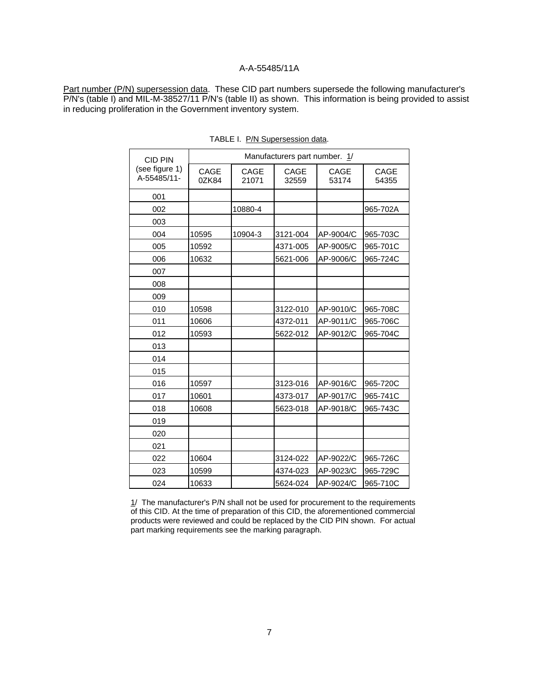Part number (P/N) supersession data. These CID part numbers supersede the following manufacturer's P/N's (table I) and MIL-M-38527/11 P/N's (table II) as shown. This information is being provided to assist in reducing proliferation in the Government inventory system.

| <b>CID PIN</b>                | Manufacturers part number. 1/ |                      |               |               |               |  |  |  |  |  |
|-------------------------------|-------------------------------|----------------------|---------------|---------------|---------------|--|--|--|--|--|
| (see figure 1)<br>A-55485/11- | <b>CAGE</b><br>0ZK84          | <b>CAGE</b><br>21071 | CAGE<br>32559 | CAGE<br>53174 | CAGE<br>54355 |  |  |  |  |  |
| 001                           |                               |                      |               |               |               |  |  |  |  |  |
| 002                           |                               | 10880-4              |               |               | 965-702A      |  |  |  |  |  |
| 003                           |                               |                      |               |               |               |  |  |  |  |  |
| 004                           | 10595                         | 10904-3              | 3121-004      | AP-9004/C     | 965-703C      |  |  |  |  |  |
| 005                           | 10592                         |                      | 4371-005      | AP-9005/C     | 965-701C      |  |  |  |  |  |
| 006                           | 10632                         |                      | 5621-006      | AP-9006/C     | 965-724C      |  |  |  |  |  |
| 007                           |                               |                      |               |               |               |  |  |  |  |  |
| 008                           |                               |                      |               |               |               |  |  |  |  |  |
| 009                           |                               |                      |               |               |               |  |  |  |  |  |
| 010                           | 10598                         |                      | 3122-010      | AP-9010/C     | 965-708C      |  |  |  |  |  |
| 011                           | 10606                         |                      | 4372-011      | AP-9011/C     | 965-706C      |  |  |  |  |  |
| 012                           | 10593                         |                      | 5622-012      | AP-9012/C     | 965-704C      |  |  |  |  |  |
| 013                           |                               |                      |               |               |               |  |  |  |  |  |
| 014                           |                               |                      |               |               |               |  |  |  |  |  |
| 015                           |                               |                      |               |               |               |  |  |  |  |  |
| 016                           | 10597                         |                      | 3123-016      | AP-9016/C     | 965-720C      |  |  |  |  |  |
| 017                           | 10601                         |                      | 4373-017      | AP-9017/C     | 965-741C      |  |  |  |  |  |
| 018                           | 10608                         |                      | 5623-018      | AP-9018/C     | 965-743C      |  |  |  |  |  |
| 019                           |                               |                      |               |               |               |  |  |  |  |  |
| 020                           |                               |                      |               |               |               |  |  |  |  |  |
| 021                           |                               |                      |               |               |               |  |  |  |  |  |
| 022                           | 10604                         |                      | 3124-022      | AP-9022/C     | 965-726C      |  |  |  |  |  |
| 023                           | 10599                         |                      | 4374-023      | AP-9023/C     | 965-729C      |  |  |  |  |  |
| 024                           | 10633                         |                      | 5624-024      | AP-9024/C     | 965-710C      |  |  |  |  |  |

TABLE I. P/N Supersession data.

1/ The manufacturer's P/N shall not be used for procurement to the requirements of this CID. At the time of preparation of this CID, the aforementioned commercial products were reviewed and could be replaced by the CID PIN shown. For actual part marking requirements see the marking paragraph.